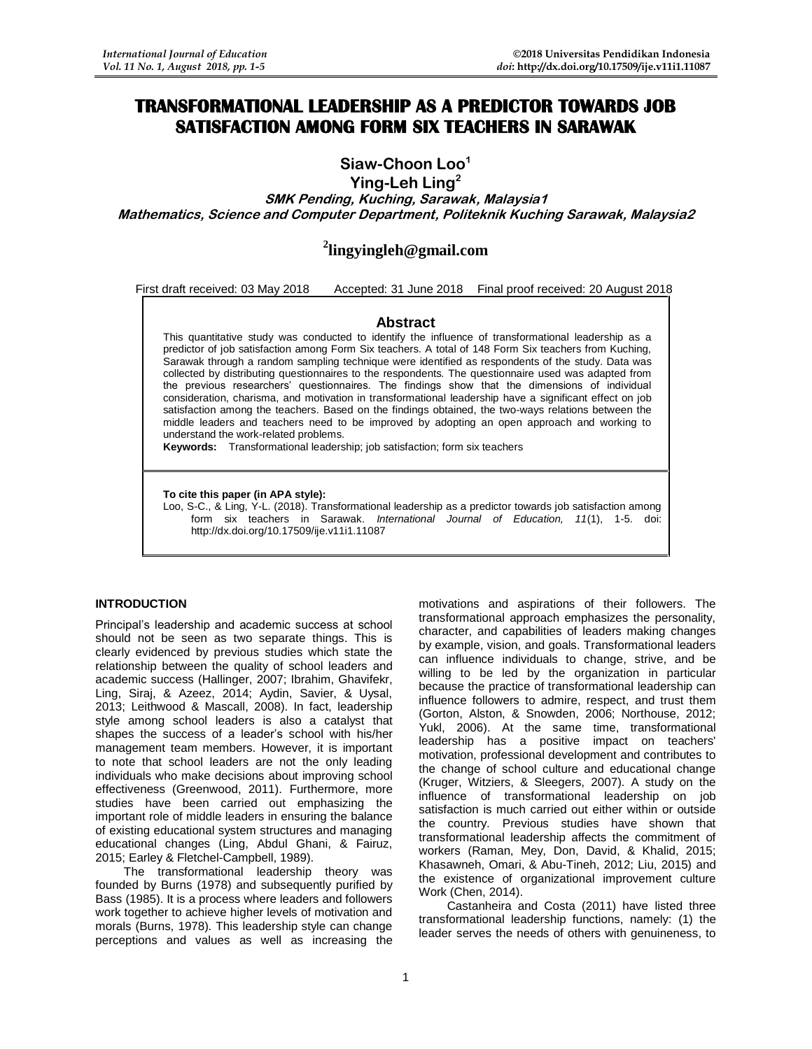# **TRANSFORMATIONAL LEADERSHIP AS A PREDICTOR TOWARDS JOB SATISFACTION AMONG FORM SIX TEACHERS IN SARAWAK**

**Siaw-Choon Loo<sup>1</sup>**

**Ying-Leh Ling<sup>2</sup>**

**SMK Pending, Kuching, Sarawak, Malaysia1 Mathematics, Science and Computer Department, Politeknik Kuching Sarawak, Malaysia2**

# **2 lingyingleh@gmail.com**

First draft received: 03 May 2018 Accepted: 31 June 2018 Final proof received: 20 August 2018

## **Abstract**

This quantitative study was conducted to identify the influence of transformational leadership as a predictor of job satisfaction among Form Six teachers. A total of 148 Form Six teachers from Kuching, Sarawak through a random sampling technique were identified as respondents of the study. Data was collected by distributing questionnaires to the respondents. The questionnaire used was adapted from the previous researchers' questionnaires. The findings show that the dimensions of individual consideration, charisma, and motivation in transformational leadership have a significant effect on job satisfaction among the teachers. Based on the findings obtained, the two-ways relations between the middle leaders and teachers need to be improved by adopting an open approach and working to understand the work-related problems.

**Keywords:** Transformational leadership; job satisfaction; form six teachers

### **To cite this paper (in APA style):**

Loo, S-C., & Ling, Y-L. (2018). Transformational leadership as a predictor towards job satisfaction among form six teachers in Sarawak. *International Journal of Education, 11*(1), 1-5. doi: http://dx.doi.org/10.17509/ije.v11i1.11087

#### **INTRODUCTION**

Principal's leadership and academic success at school should not be seen as two separate things. This is clearly evidenced by previous studies which state the relationship between the quality of school leaders and academic success (Hallinger, 2007; Ibrahim, Ghavifekr, Ling, Siraj, & Azeez, 2014; Aydin, Savier, & Uysal, 2013; Leithwood & Mascall, 2008). In fact, leadership style among school leaders is also a catalyst that shapes the success of a leader's school with his/her management team members. However, it is important to note that school leaders are not the only leading individuals who make decisions about improving school effectiveness (Greenwood, 2011). Furthermore, more studies have been carried out emphasizing the important role of middle leaders in ensuring the balance of existing educational system structures and managing educational changes (Ling, Abdul Ghani, & Fairuz, 2015; Earley & Fletchel-Campbell, 1989).

The transformational leadership theory was founded by Burns (1978) and subsequently purified by Bass (1985). It is a process where leaders and followers work together to achieve higher levels of motivation and morals (Burns, 1978). This leadership style can change perceptions and values as well as increasing the motivations and aspirations of their followers. The transformational approach emphasizes the personality, character, and capabilities of leaders making changes by example, vision, and goals. Transformational leaders can influence individuals to change, strive, and be willing to be led by the organization in particular because the practice of transformational leadership can influence followers to admire, respect, and trust them (Gorton, Alston, & Snowden, 2006; Northouse, 2012; Yukl, 2006). At the same time, transformational leadership has a positive impact on teachers' motivation, professional development and contributes to the change of school culture and educational change (Kruger, Witziers, & Sleegers, 2007). A study on the influence of transformational leadership on job satisfaction is much carried out either within or outside the country. Previous studies have shown that transformational leadership affects the commitment of workers (Raman, Mey, Don, David, & Khalid, 2015; Khasawneh, Omari, & Abu-Tineh, 2012; Liu, 2015) and the existence of organizational improvement culture Work (Chen, 2014).

Castanheira and Costa (2011) have listed three transformational leadership functions, namely: (1) the leader serves the needs of others with genuineness, to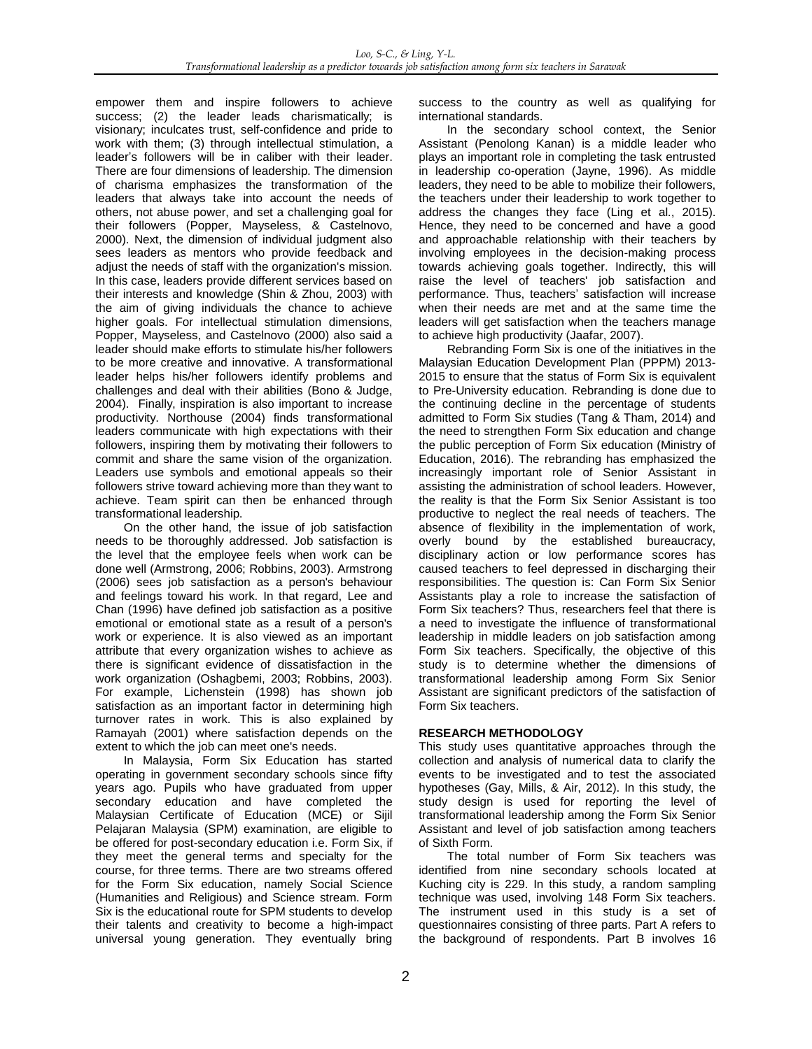empower them and inspire followers to achieve success; (2) the leader leads charismatically; is visionary; inculcates trust, self-confidence and pride to work with them; (3) through intellectual stimulation, a leader's followers will be in caliber with their leader. There are four dimensions of leadership. The dimension of charisma emphasizes the transformation of the leaders that always take into account the needs of others, not abuse power, and set a challenging goal for their followers (Popper, Mayseless, & Castelnovo, 2000). Next, the dimension of individual judgment also sees leaders as mentors who provide feedback and adjust the needs of staff with the organization's mission. In this case, leaders provide different services based on their interests and knowledge (Shin & Zhou, 2003) with the aim of giving individuals the chance to achieve higher goals. For intellectual stimulation dimensions, Popper, Mayseless, and Castelnovo (2000) also said a leader should make efforts to stimulate his/her followers to be more creative and innovative. A transformational leader helps his/her followers identify problems and challenges and deal with their abilities (Bono & Judge, 2004). Finally, inspiration is also important to increase productivity. Northouse (2004) finds transformational leaders communicate with high expectations with their followers, inspiring them by motivating their followers to commit and share the same vision of the organization. Leaders use symbols and emotional appeals so their followers strive toward achieving more than they want to achieve. Team spirit can then be enhanced through transformational leadership.

On the other hand, the issue of job satisfaction needs to be thoroughly addressed. Job satisfaction is the level that the employee feels when work can be done well (Armstrong, 2006; Robbins, 2003). Armstrong (2006) sees job satisfaction as a person's behaviour and feelings toward his work. In that regard, Lee and Chan (1996) have defined job satisfaction as a positive emotional or emotional state as a result of a person's work or experience. It is also viewed as an important attribute that every organization wishes to achieve as there is significant evidence of dissatisfaction in the work organization (Oshagbemi, 2003; Robbins, 2003). For example, Lichenstein (1998) has shown job satisfaction as an important factor in determining high turnover rates in work. This is also explained by Ramayah (2001) where satisfaction depends on the extent to which the job can meet one's needs.

In Malaysia, Form Six Education has started operating in government secondary schools since fifty years ago. Pupils who have graduated from upper secondary education and have completed the Malaysian Certificate of Education (MCE) or Sijil Pelajaran Malaysia (SPM) examination, are eligible to be offered for post-secondary education i.e. Form Six, if they meet the general terms and specialty for the course, for three terms. There are two streams offered for the Form Six education, namely Social Science (Humanities and Religious) and Science stream. Form Six is the educational route for SPM students to develop their talents and creativity to become a high-impact universal young generation. They eventually bring

success to the country as well as qualifying for international standards.

In the secondary school context, the Senior Assistant (Penolong Kanan) is a middle leader who plays an important role in completing the task entrusted in leadership co-operation (Jayne, 1996). As middle leaders, they need to be able to mobilize their followers, the teachers under their leadership to work together to address the changes they face (Ling et al., 2015). Hence, they need to be concerned and have a good and approachable relationship with their teachers by involving employees in the decision-making process towards achieving goals together. Indirectly, this will raise the level of teachers' job satisfaction and performance. Thus, teachers' satisfaction will increase when their needs are met and at the same time the leaders will get satisfaction when the teachers manage to achieve high productivity (Jaafar, 2007).

Rebranding Form Six is one of the initiatives in the Malaysian Education Development Plan (PPPM) 2013- 2015 to ensure that the status of Form Six is equivalent to Pre-University education. Rebranding is done due to the continuing decline in the percentage of students admitted to Form Six studies (Tang & Tham, 2014) and the need to strengthen Form Six education and change the public perception of Form Six education (Ministry of Education, 2016). The rebranding has emphasized the increasingly important role of Senior Assistant in assisting the administration of school leaders. However, the reality is that the Form Six Senior Assistant is too productive to neglect the real needs of teachers. The absence of flexibility in the implementation of work, overly bound by the established bureaucracy, disciplinary action or low performance scores has caused teachers to feel depressed in discharging their responsibilities. The question is: Can Form Six Senior Assistants play a role to increase the satisfaction of Form Six teachers? Thus, researchers feel that there is a need to investigate the influence of transformational leadership in middle leaders on job satisfaction among Form Six teachers. Specifically, the objective of this study is to determine whether the dimensions of transformational leadership among Form Six Senior Assistant are significant predictors of the satisfaction of Form Six teachers.

## **RESEARCH METHODOLOGY**

This study uses quantitative approaches through the collection and analysis of numerical data to clarify the events to be investigated and to test the associated hypotheses (Gay, Mills, & Air, 2012). In this study, the study design is used for reporting the level of transformational leadership among the Form Six Senior Assistant and level of job satisfaction among teachers of Sixth Form.

The total number of Form Six teachers was identified from nine secondary schools located at Kuching city is 229. In this study, a random sampling technique was used, involving 148 Form Six teachers. The instrument used in this study is a set of questionnaires consisting of three parts. Part A refers to the background of respondents. Part B involves 16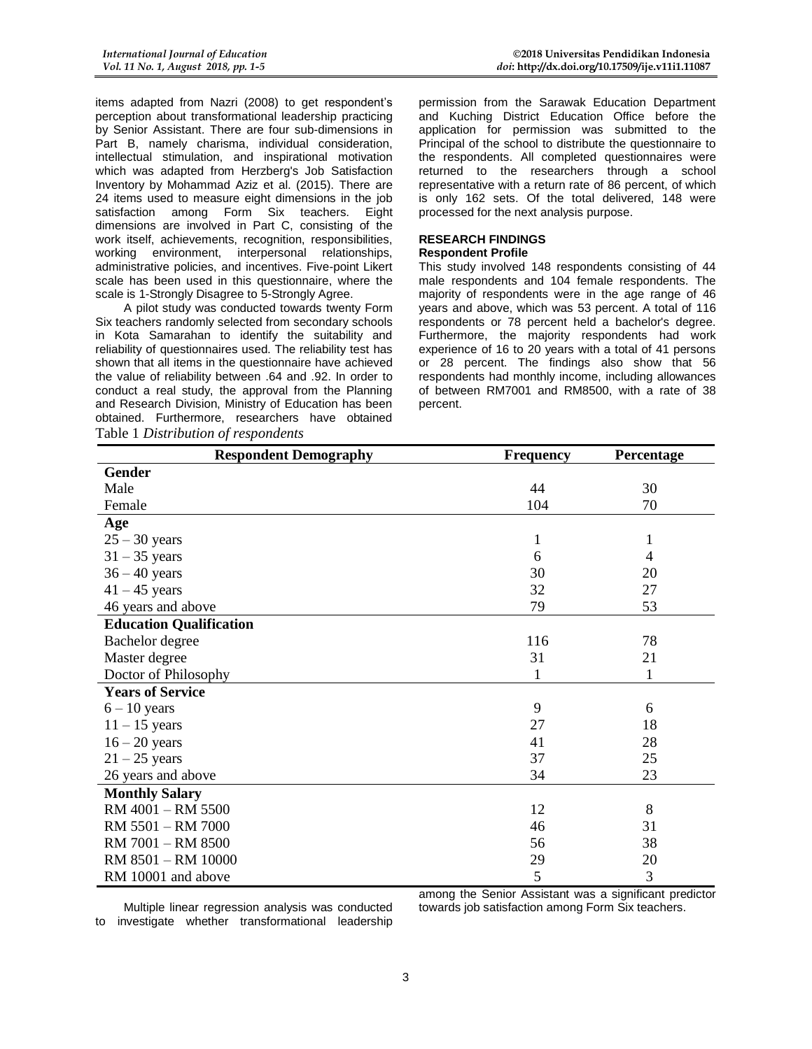items adapted from Nazri (2008) to get respondent's perception about transformational leadership practicing by Senior Assistant. There are four sub-dimensions in Part B, namely charisma, individual consideration, intellectual stimulation, and inspirational motivation which was adapted from Herzberg's Job Satisfaction Inventory by Mohammad Aziz et al. (2015). There are 24 items used to measure eight dimensions in the job satisfaction among Form Six teachers. Eight dimensions are involved in Part C, consisting of the work itself, achievements, recognition, responsibilities, working environment, interpersonal relationships, administrative policies, and incentives. Five-point Likert scale has been used in this questionnaire, where the scale is 1-Strongly Disagree to 5-Strongly Agree.

A pilot study was conducted towards twenty Form Six teachers randomly selected from secondary schools in Kota Samarahan to identify the suitability and reliability of questionnaires used. The reliability test has shown that all items in the questionnaire have achieved the value of reliability between .64 and .92. In order to conduct a real study, the approval from the Planning and Research Division, Ministry of Education has been obtained. Furthermore, researchers have obtained Table 1 *Distribution of respondents*

permission from the Sarawak Education Department and Kuching District Education Office before the application for permission was submitted to the Principal of the school to distribute the questionnaire to the respondents. All completed questionnaires were returned to the researchers through a school representative with a return rate of 86 percent, of which is only 162 sets. Of the total delivered, 148 were processed for the next analysis purpose.

#### **RESEARCH FINDINGS Respondent Profile**

This study involved 148 respondents consisting of 44 male respondents and 104 female respondents. The majority of respondents were in the age range of 46 years and above, which was 53 percent. A total of 116 respondents or 78 percent held a bachelor's degree. Furthermore, the majority respondents had work experience of 16 to 20 years with a total of 41 persons or 28 percent. The findings also show that 56 respondents had monthly income, including allowances of between RM7001 and RM8500, with a rate of 38 percent.

| <b>Respondent Demography</b>   | Frequency | Percentage   |
|--------------------------------|-----------|--------------|
| <b>Gender</b>                  |           |              |
| Male                           | 44        | 30           |
| Female                         | 104       | 70           |
| Age                            |           |              |
| $25 - 30$ years                | 1         | 1            |
| $31 - 35$ years                | 6         | 4            |
| $36 - 40$ years                | 30        | 20           |
| $41 - 45$ years                | 32        | 27           |
| 46 years and above             | 79        | 53           |
| <b>Education Qualification</b> |           |              |
| Bachelor degree                | 116       | 78           |
| Master degree                  | 31        | 21           |
| Doctor of Philosophy           | 1         | $\mathbf{1}$ |
| <b>Years of Service</b>        |           |              |
| $6 - 10$ years                 | 9         | 6            |
| $11 - 15$ years                | 27        | 18           |
| $16 - 20$ years                | 41        | 28           |
| $21 - 25$ years                | 37        | 25           |
| 26 years and above             | 34        | 23           |
| <b>Monthly Salary</b>          |           |              |
| RM 4001 - RM 5500              | 12        | 8            |
| RM 5501 - RM 7000              | 46        | 31           |
| RM 7001 - RM 8500              | 56        | 38           |
| RM 8501 - RM 10000             | 29        | 20           |
| RM 10001 and above             | 5         | 3            |

Multiple linear regression analysis was conducted to investigate whether transformational leadership among the Senior Assistant was a significant predictor towards job satisfaction among Form Six teachers.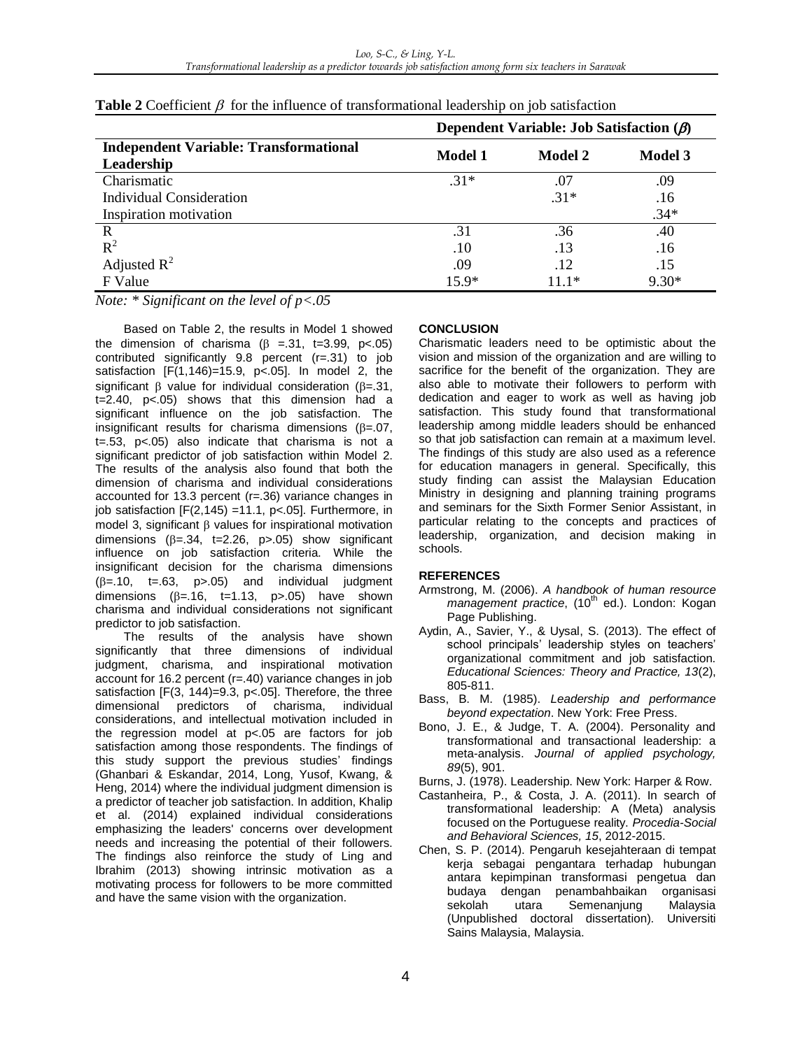|                                                             | Dependent Variable: Job Satisfaction $(\beta)$ |         |         |
|-------------------------------------------------------------|------------------------------------------------|---------|---------|
| <b>Independent Variable: Transformational</b><br>Leadership | Model 1                                        | Model 2 | Model 3 |
| Charismatic                                                 | $.31*$                                         | .07     | .09     |
| Individual Consideration                                    |                                                | $.31*$  | .16     |
| Inspiration motivation                                      |                                                |         | $.34*$  |
| R                                                           | .31                                            | .36     | .40     |
| $R^2$                                                       | .10                                            | .13     | .16     |
| Adjusted $R^2$                                              | .09                                            | .12     | .15     |
| F Value                                                     | $15.9*$                                        | $111*$  | $9.30*$ |

| <b>Table 2</b> Coefficient $\beta$ for the influence of transformational leadership on job satisfaction |  |  |  |  |
|---------------------------------------------------------------------------------------------------------|--|--|--|--|
|---------------------------------------------------------------------------------------------------------|--|--|--|--|

*Note: \* Significant on the level of p<.05*

Based on Table 2, the results in Model 1 showed the dimension of charisma  $(\beta = .31, t=3.99, p<.05)$ contributed significantly 9.8 percent (r=.31) to job satisfaction [F(1,146)=15.9, p<.05]. In model 2, the significant  $\beta$  value for individual consideration ( $\beta$ =.31, t=2.40, p<.05) shows that this dimension had a significant influence on the job satisfaction. The insignificant results for charisma dimensions ( $\beta$ =.07, t=.53, p<.05) also indicate that charisma is not a significant predictor of job satisfaction within Model 2. The results of the analysis also found that both the dimension of charisma and individual considerations accounted for 13.3 percent (r=.36) variance changes in job satisfaction  $[F(2,145) = 11.1, p<0.5]$ . Furthermore, in model 3, significant  $\beta$  values for inspirational motivation dimensions ( $\beta = .34$ , t=2.26, p>.05) show significant influence on job satisfaction criteria. While the insignificant decision for the charisma dimensions  $(\beta=.10, t=.63, p>.05)$  and individual judgment dimensions  $(\beta = 16, t=1.13, p>0.05)$  have shown charisma and individual considerations not significant predictor to job satisfaction.

The results of the analysis have shown significantly that three dimensions of individual judgment, charisma, and inspirational motivation account for 16.2 percent (r=.40) variance changes in job satisfaction [F(3, 144)=9.3, p<.05]. Therefore, the three dimensional predictors of charisma, individual considerations, and intellectual motivation included in the regression model at p<.05 are factors for job satisfaction among those respondents. The findings of this study support the previous studies' findings (Ghanbari & Eskandar, 2014, Long, Yusof, Kwang, & Heng, 2014) where the individual judgment dimension is a predictor of teacher job satisfaction. In addition, Khalip et al. (2014) explained individual considerations emphasizing the leaders' concerns over development needs and increasing the potential of their followers. The findings also reinforce the study of Ling and Ibrahim (2013) showing intrinsic motivation as a motivating process for followers to be more committed and have the same vision with the organization.

## **CONCLUSION**

Charismatic leaders need to be optimistic about the vision and mission of the organization and are willing to sacrifice for the benefit of the organization. They are also able to motivate their followers to perform with dedication and eager to work as well as having job satisfaction. This study found that transformational leadership among middle leaders should be enhanced so that job satisfaction can remain at a maximum level. The findings of this study are also used as a reference for education managers in general. Specifically, this study finding can assist the Malaysian Education Ministry in designing and planning training programs and seminars for the Sixth Former Senior Assistant, in particular relating to the concepts and practices of leadership, organization, and decision making in schools.

## **REFERENCES**

- Armstrong, M. (2006). *A handbook of human resource management practice*, (10<sup>th</sup> ed.). London: Kogan Page Publishing.
- Aydin, A., Savier, Y., & Uysal, S. (2013). The effect of school principals' leadership styles on teachers' organizational commitment and job satisfaction. *Educational Sciences: Theory and Practice, 13*(2), 805-811.
- Bass, B. M. (1985). *Leadership and performance beyond expectation*. New York: Free Press.
- Bono, J. E., & Judge, T. A. (2004). Personality and transformational and transactional leadership: a meta-analysis. *Journal of applied psychology, 89*(5), 901.
- Burns, J. (1978). Leadership. New York: Harper & Row.
- Castanheira, P., & Costa, J. A. (2011). In search of transformational leadership: A (Meta) analysis focused on the Portuguese reality. *Procedia-Social and Behavioral Sciences, 15*, 2012-2015.
- Chen, S. P. (2014). Pengaruh kesejahteraan di tempat kerja sebagai pengantara terhadap hubungan antara kepimpinan transformasi pengetua dan budaya dengan penambahbaikan organisasi sekolah utara Semenanjung Malaysia (Unpublished doctoral dissertation). Universiti Sains Malaysia, Malaysia.